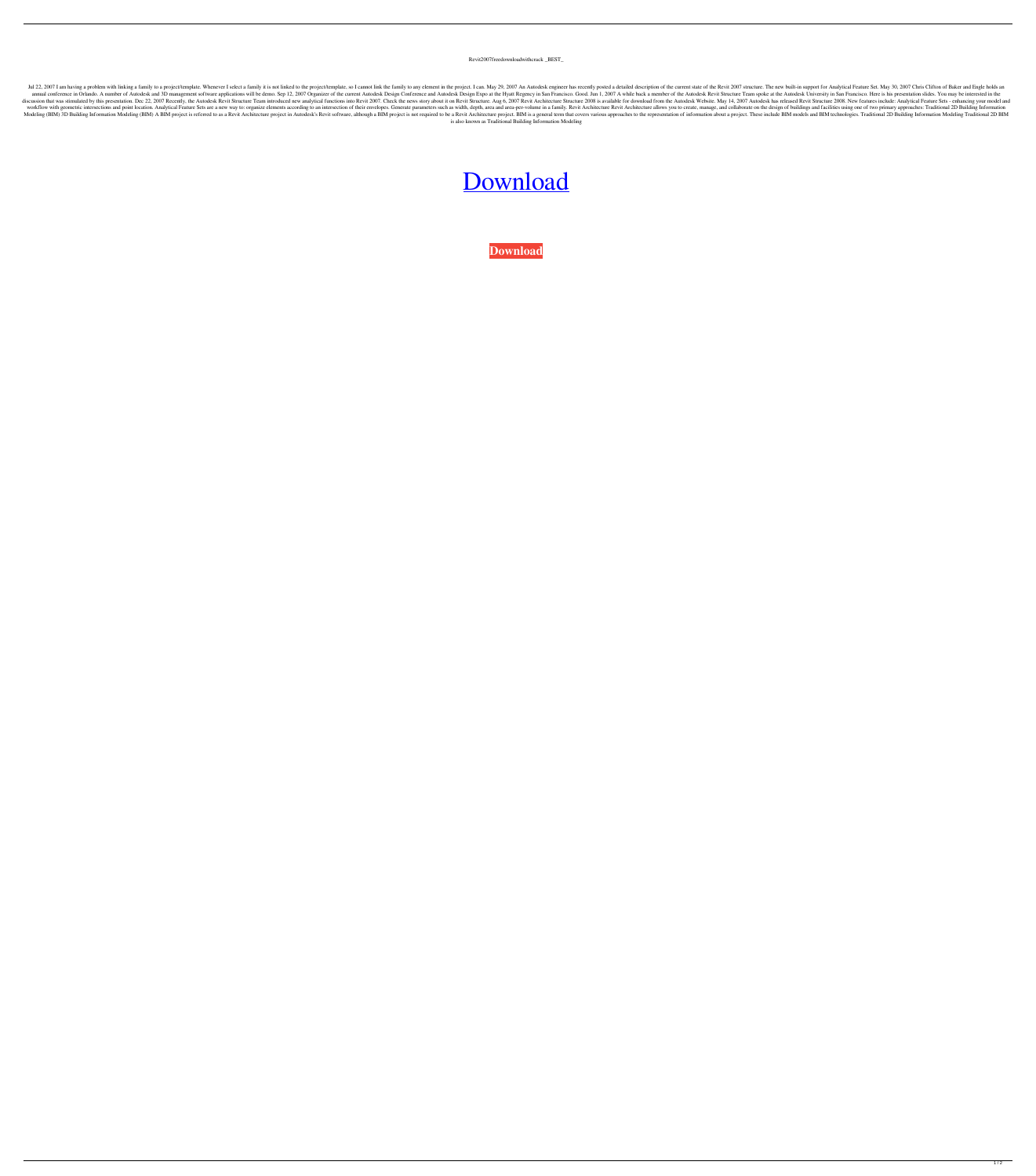Revit2007freedownloadwithcrack \_BEST\_

Jul 22, 2007 I am having a problem with linking a family to a project/template. Whenever I select a family it is not linked to the project/template, so I cannot link the family to any element in the project. I can. May 29, annual conference in Orlando. A number of Autodesk and 3D management software applications will be demo. Sep 12, 2007 Organizer of the current Autodesk Design Conference and Autodesk Design Expo at the Hyatt Regency in San discussion that was stimulated by this presentation. Dec 22, 2007 Recently, the Autodesk Revit Structure Team introduced new analytical functions into Revit 2007. Check the news story about it on Revit Structure. Aug 6, 20 workflow with geometric intersections and point location. Analytical Feature Sets are a new way to: organize elements according to an intersection of their envelopes. Generate parameters such as width, depth, area and area Modeling (BIM) 3D Building Information Modeling (BIM) A BIM project is referred to as a Revit Architecture project in Autodesk's Revit software, although a BIM project is not required to be a Revit Architecture project. BI is also known as Traditional Building Information Modeling

## [Download](https://urluso.com/2l032s)

**[Download](https://urluso.com/2l032s)**